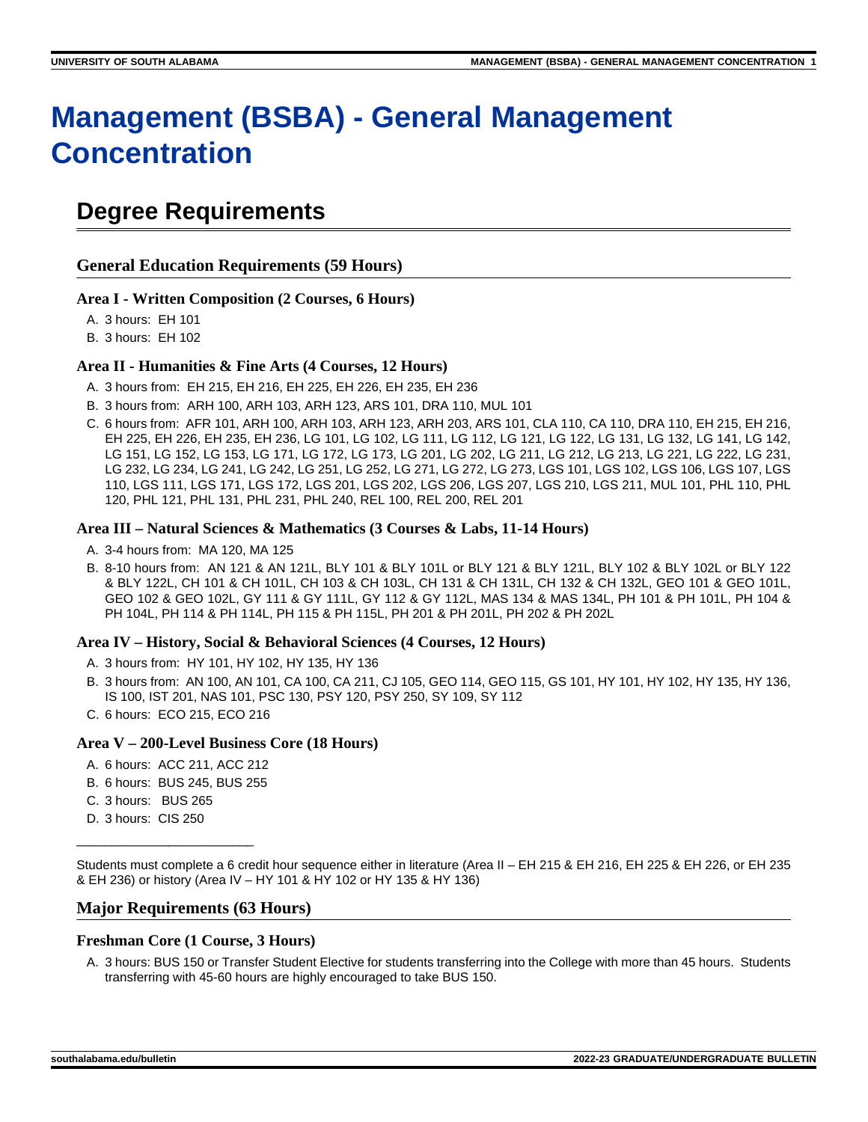# **Management (BSBA) - General Management Concentration**

# **Degree Requirements**

**General Education Requirements (59 Hours)**

### **Area I - Written Composition (2 Courses, 6 Hours)**

A. 3 hours: EH 101

B. 3 hours: EH 102

### **Area II - Humanities & Fine Arts (4 Courses, 12 Hours)**

- A. 3 hours from: EH 215, EH 216, EH 225, EH 226, EH 235, EH 236
- B. 3 hours from: ARH 100, ARH 103, ARH 123, ARS 101, DRA 110, MUL 101
- C. 6 hours from: AFR 101, ARH 100, ARH 103, ARH 123, ARH 203, ARS 101, CLA 110, CA 110, DRA 110, EH 215, EH 216, EH 225, EH 226, EH 235, EH 236, LG 101, LG 102, LG 111, LG 112, LG 121, LG 122, LG 131, LG 132, LG 141, LG 142, LG 151, LG 152, LG 153, LG 171, LG 172, LG 173, LG 201, LG 202, LG 211, LG 212, LG 213, LG 221, LG 222, LG 231, LG 232, LG 234, LG 241, LG 242, LG 251, LG 252, LG 271, LG 272, LG 273, LGS 101, LGS 102, LGS 106, LGS 107, LGS 110, LGS 111, LGS 171, LGS 172, LGS 201, LGS 202, LGS 206, LGS 207, LGS 210, LGS 211, MUL 101, PHL 110, PHL 120, PHL 121, PHL 131, PHL 231, PHL 240, REL 100, REL 200, REL 201

#### **Area III – Natural Sciences & Mathematics (3 Courses & Labs, 11-14 Hours)**

- A. 3-4 hours from: MA 120, MA 125
- B. 8-10 hours from: AN 121 & AN 121L, BLY 101 & BLY 101L or BLY 121 & BLY 121L, BLY 102 & BLY 102L or BLY 122 & BLY 122L, CH 101 & CH 101L, CH 103 & CH 103L, CH 131 & CH 131L, CH 132 & CH 132L, GEO 101 & GEO 101L, GEO 102 & GEO 102L, GY 111 & GY 111L, GY 112 & GY 112L, MAS 134 & MAS 134L, PH 101 & PH 101L, PH 104 & PH 104L, PH 114 & PH 114L, PH 115 & PH 115L, PH 201 & PH 201L, PH 202 & PH 202L

### **Area IV – History, Social & Behavioral Sciences (4 Courses, 12 Hours)**

- A. 3 hours from: HY 101, HY 102, HY 135, HY 136
- B. 3 hours from: AN 100, AN 101, CA 100, CA 211, CJ 105, GEO 114, GEO 115, GS 101, HY 101, HY 102, HY 135, HY 136, IS 100, IST 201, NAS 101, PSC 130, PSY 120, PSY 250, SY 109, SY 112
- C. 6 hours: ECO 215, ECO 216

### **Area V – 200-Level Business Core (18 Hours)**

- A. 6 hours: ACC 211, ACC 212
- B. 6 hours: BUS 245, BUS 255
- C. 3 hours: BUS 265
- D. 3 hours: CIS 250

\_\_\_\_\_\_\_\_\_\_\_\_\_\_\_\_\_\_\_\_\_\_\_\_\_

Students must complete a 6 credit hour sequence either in literature (Area II – EH 215 & EH 216, EH 225 & EH 226, or EH 235 & EH 236) or history (Area IV – HY 101 & HY 102 or HY 135 & HY 136)

### **Major Requirements (63 Hours)**

### **Freshman Core (1 Course, 3 Hours)**

A. 3 hours: BUS 150 or Transfer Student Elective for students transferring into the College with more than 45 hours. Students transferring with 45-60 hours are highly encouraged to take BUS 150.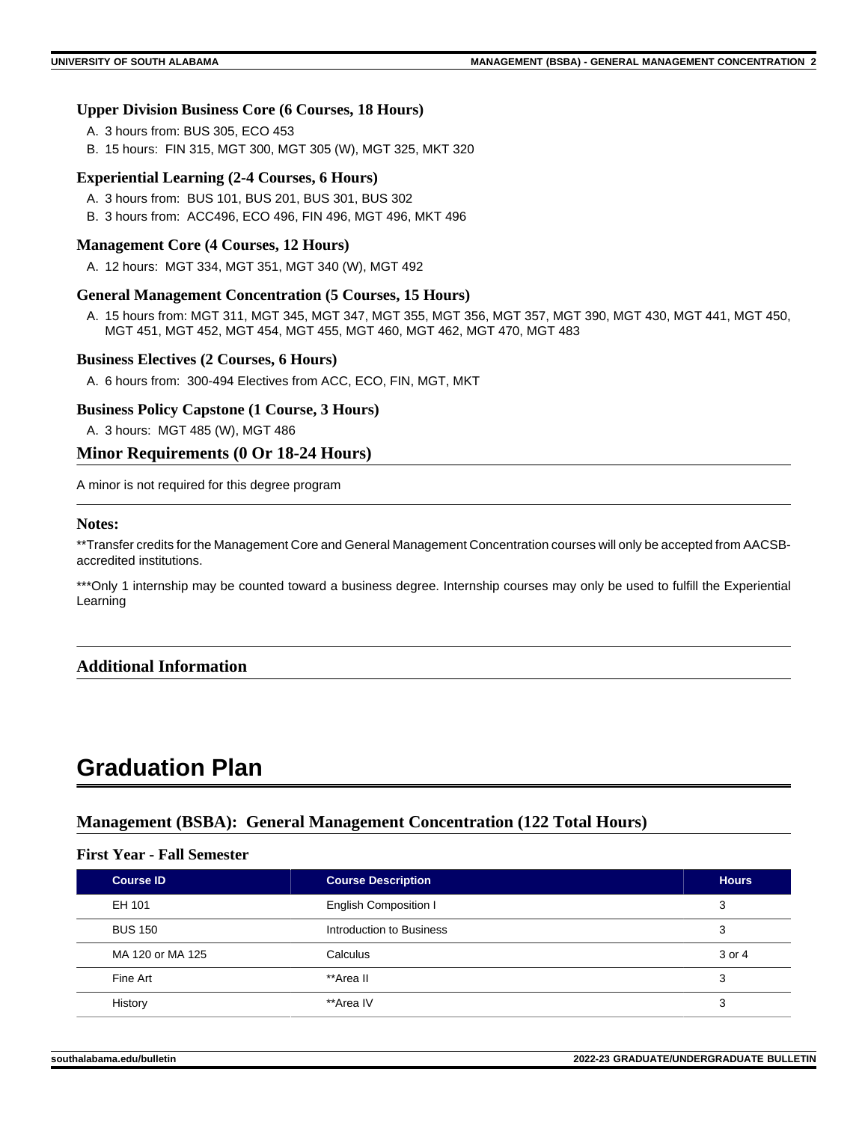### **Upper Division Business Core (6 Courses, 18 Hours)**

- A. 3 hours from: BUS 305, ECO 453
- B. 15 hours: FIN 315, MGT 300, MGT 305 (W), MGT 325, MKT 320

### **Experiential Learning (2-4 Courses, 6 Hours)**

- A. 3 hours from: BUS 101, BUS 201, BUS 301, BUS 302
- B. 3 hours from: ACC496, ECO 496, FIN 496, MGT 496, MKT 496

### **Management Core (4 Courses, 12 Hours)**

A. 12 hours: MGT 334, MGT 351, MGT 340 (W), MGT 492

### **General Management Concentration (5 Courses, 15 Hours)**

A. 15 hours from: MGT 311, MGT 345, MGT 347, MGT 355, MGT 356, MGT 357, MGT 390, MGT 430, MGT 441, MGT 450, MGT 451, MGT 452, MGT 454, MGT 455, MGT 460, MGT 462, MGT 470, MGT 483

### **Business Electives (2 Courses, 6 Hours)**

A. 6 hours from: 300-494 Electives from ACC, ECO, FIN, MGT, MKT

### **Business Policy Capstone (1 Course, 3 Hours)**

A. 3 hours: MGT 485 (W), MGT 486

# **Minor Requirements (0 Or 18-24 Hours)**

A minor is not required for this degree program

### **Notes:**

\*\*Transfer credits for the Management Core and General Management Concentration courses will only be accepted from AACSBaccredited institutions.

\*\*\*Only 1 internship may be counted toward a business degree. Internship courses may only be used to fulfill the Experiential Learning

# **Additional Information**

# **Graduation Plan**

# **Management (BSBA): General Management Concentration (122 Total Hours)**

### **First Year - Fall Semester**

| <b>Course ID</b> | <b>Course Description</b>    | <b>Hours</b> |
|------------------|------------------------------|--------------|
| EH 101           | <b>English Composition I</b> | 3            |
| <b>BUS 150</b>   | Introduction to Business     | 3            |
| MA 120 or MA 125 | Calculus                     | 3 or 4       |
| Fine Art         | **Area II                    | 3            |
| History          | **Area IV                    | 3            |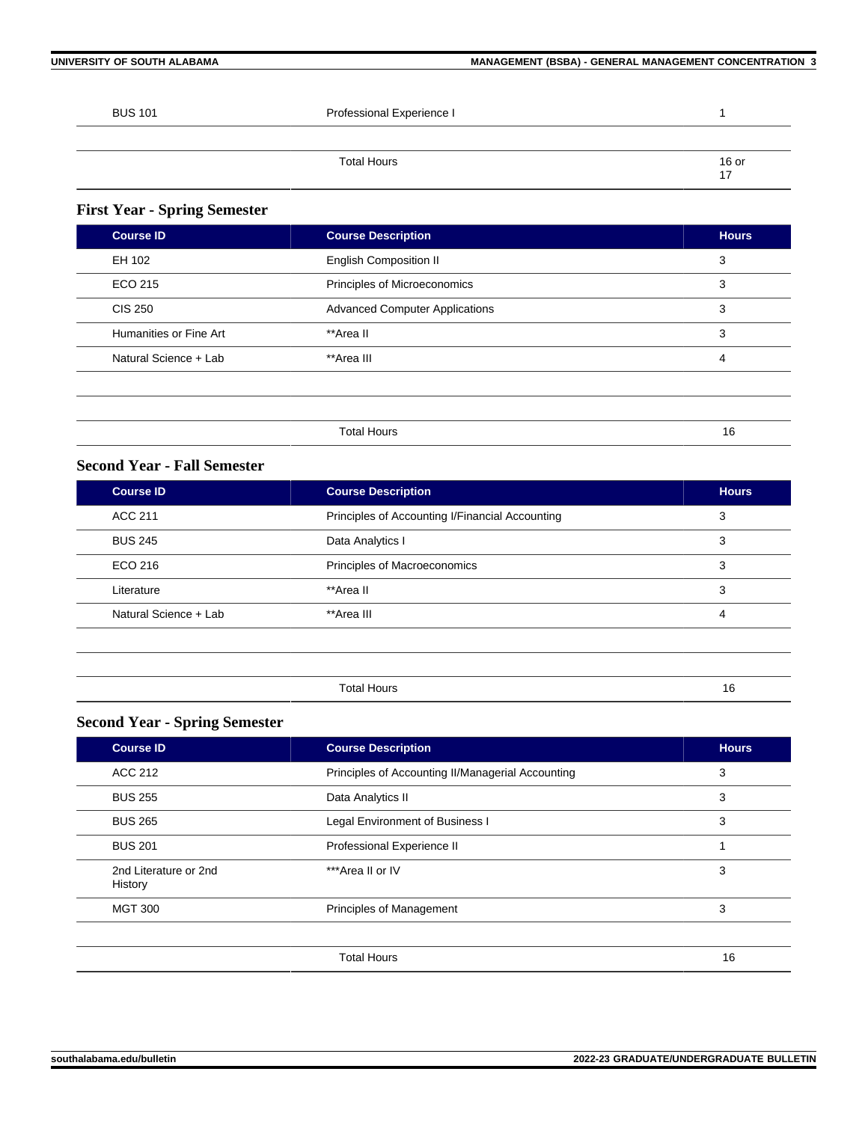| <b>BUS 101</b> | Professional Experience I |  |
|----------------|---------------------------|--|

| <b>Total Hours</b> | $\frac{16}{17}$ or |
|--------------------|--------------------|
|                    | . .                |

# **First Year - Spring Semester**

| <b>Course ID</b>       | <b>Course Description</b>             | <b>Hours</b> |
|------------------------|---------------------------------------|--------------|
| EH 102                 | <b>English Composition II</b>         | 3            |
| ECO 215                | Principles of Microeconomics          | 3            |
| <b>CIS 250</b>         | <b>Advanced Computer Applications</b> | 3            |
| Humanities or Fine Art | **Area II                             | 3            |
| Natural Science + Lab  | **Area III                            | 4            |
|                        |                                       |              |
|                        |                                       |              |
|                        | <b>Total Hours</b>                    | 16           |

# **Second Year - Fall Semester**

| <b>Course ID</b>      | <b>Course Description</b>                       | <b>Hours</b> |
|-----------------------|-------------------------------------------------|--------------|
| ACC 211               | Principles of Accounting I/Financial Accounting | 3            |
| <b>BUS 245</b>        | Data Analytics I                                | 3            |
| ECO 216               | Principles of Macroeconomics                    | 3            |
| Literature            | **Area II                                       | 3            |
| Natural Science + Lab | **Area III                                      | 4            |
|                       |                                                 |              |

Total Hours 16

# **Second Year - Spring Semester**

| <b>Course ID</b>                 | <b>Course Description</b>                         | <b>Hours</b> |
|----------------------------------|---------------------------------------------------|--------------|
| ACC 212                          | Principles of Accounting II/Managerial Accounting | 3            |
| <b>BUS 255</b>                   | Data Analytics II                                 | 3            |
| <b>BUS 265</b>                   | Legal Environment of Business I                   | 3            |
| <b>BUS 201</b>                   | Professional Experience II                        |              |
| 2nd Literature or 2nd<br>History | ***Area II or IV                                  | 3            |
| <b>MGT 300</b>                   | <b>Principles of Management</b>                   | 3            |
|                                  | <b>Total Hours</b>                                | 16           |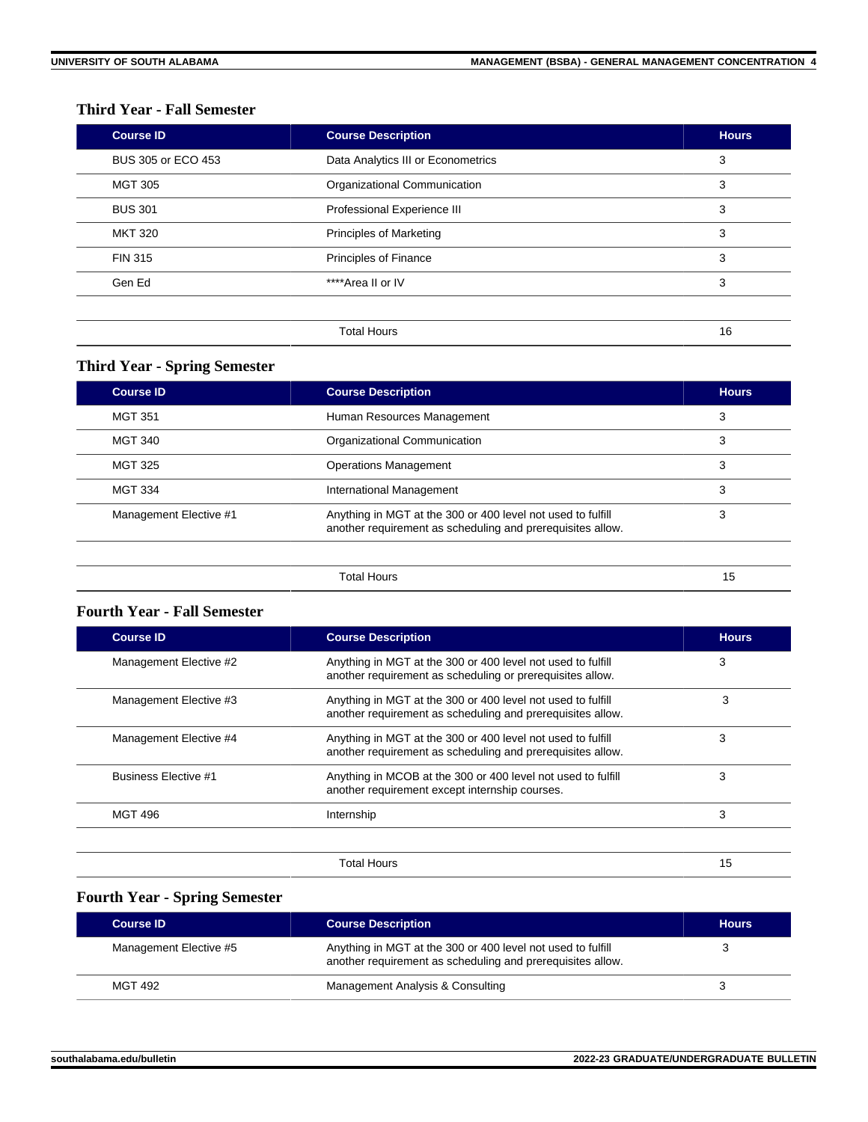# **Third Year - Fall Semester**

| <b>Course ID</b>   | <b>Course Description</b>          | <b>Hours</b> |
|--------------------|------------------------------------|--------------|
| BUS 305 or ECO 453 | Data Analytics III or Econometrics | 3            |
| <b>MGT 305</b>     | Organizational Communication       | 3            |
| <b>BUS 301</b>     | Professional Experience III        | 3            |
| <b>MKT 320</b>     | <b>Principles of Marketing</b>     | 3            |
| <b>FIN 315</b>     | <b>Principles of Finance</b>       | 3            |
| Gen Ed             | ****Area II or IV                  | 3            |
|                    |                                    |              |
|                    | <b>Total Hours</b>                 | 16           |

# **Third Year - Spring Semester**

| <b>Course ID</b>       | <b>Course Description</b>                                                                                                 | <b>Hours</b> |
|------------------------|---------------------------------------------------------------------------------------------------------------------------|--------------|
| <b>MGT 351</b>         | Human Resources Management                                                                                                | 3            |
| <b>MGT 340</b>         | Organizational Communication                                                                                              | 3            |
| <b>MGT 325</b>         | <b>Operations Management</b>                                                                                              | 3            |
| <b>MGT 334</b>         | International Management                                                                                                  | 3            |
| Management Elective #1 | Anything in MGT at the 300 or 400 level not used to fulfill<br>another requirement as scheduling and prerequisites allow. | 3            |
|                        | <b>Total Hours</b>                                                                                                        | 15           |

# **Fourth Year - Fall Semester**

| <b>Course ID</b>            | <b>Course Description</b>                                                                                                 | <b>Hours</b> |
|-----------------------------|---------------------------------------------------------------------------------------------------------------------------|--------------|
| Management Elective #2      | Anything in MGT at the 300 or 400 level not used to fulfill<br>another requirement as scheduling or prerequisites allow.  | 3            |
| Management Elective #3      | Anything in MGT at the 300 or 400 level not used to fulfill<br>another requirement as scheduling and prerequisites allow. | 3            |
| Management Elective #4      | Anything in MGT at the 300 or 400 level not used to fulfill<br>another requirement as scheduling and prerequisites allow. | 3            |
| <b>Business Flective #1</b> | Anything in MCOB at the 300 or 400 level not used to fulfill<br>another requirement except internship courses.            | 3            |
| <b>MGT 496</b>              | Internship                                                                                                                | 3            |
|                             | Total Hours                                                                                                               | 15           |

# **Fourth Year - Spring Semester**

| <b>Course ID</b>       | <b>Course Description</b>                                                                                                 | <b>Hours</b> |
|------------------------|---------------------------------------------------------------------------------------------------------------------------|--------------|
| Management Elective #5 | Anything in MGT at the 300 or 400 level not used to fulfill<br>another requirement as scheduling and prerequisites allow. |              |
| <b>MGT 492</b>         | Management Analysis & Consulting                                                                                          |              |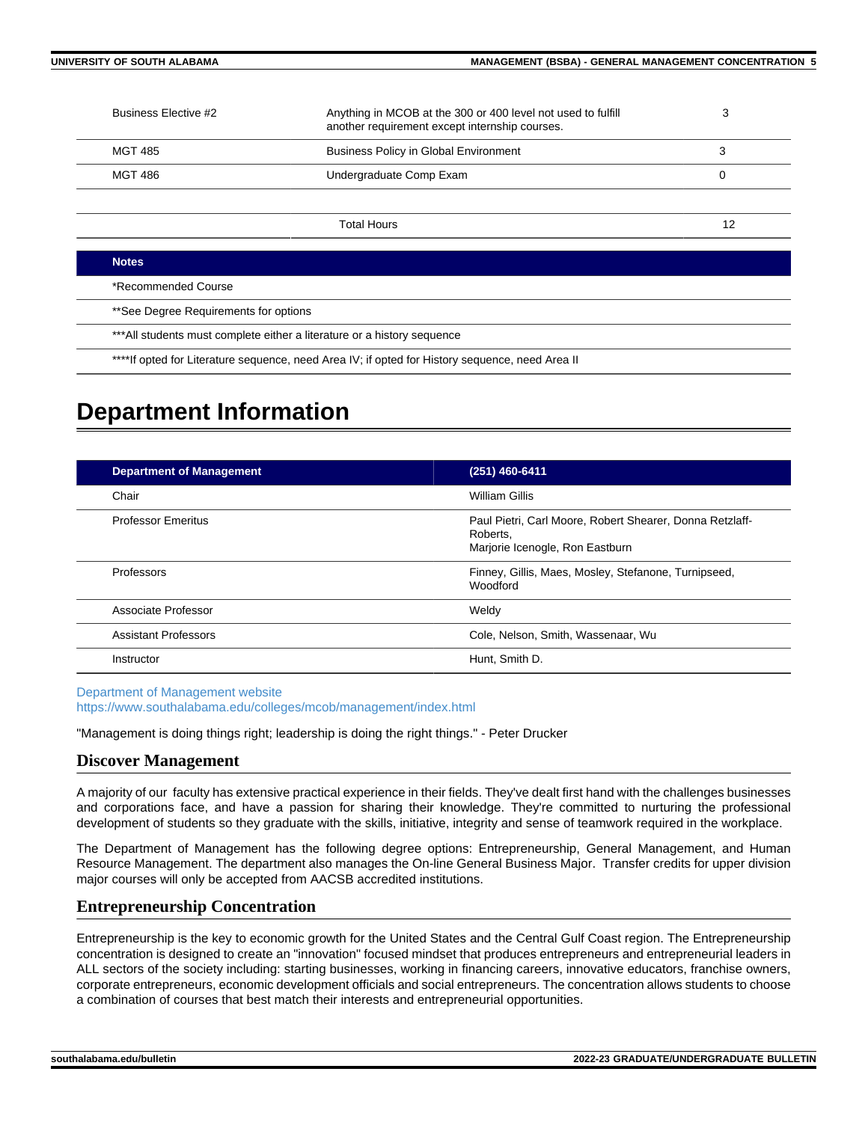| Business Elective #2                                                     | Anything in MCOB at the 300 or 400 level not used to fulfill<br>another requirement except internship courses. | 3  |
|--------------------------------------------------------------------------|----------------------------------------------------------------------------------------------------------------|----|
| <b>MGT 485</b>                                                           | <b>Business Policy in Global Environment</b>                                                                   | 3  |
| <b>MGT 486</b>                                                           | Undergraduate Comp Exam                                                                                        | 0  |
|                                                                          |                                                                                                                |    |
|                                                                          | <b>Total Hours</b>                                                                                             | 12 |
| <b>Notes</b>                                                             |                                                                                                                |    |
| *Recommended Course                                                      |                                                                                                                |    |
| **See Degree Requirements for options                                    |                                                                                                                |    |
| *** All students must complete either a literature or a history sequence |                                                                                                                |    |

\*\*\*\*If opted for Literature sequence, need Area IV; if opted for History sequence, need Area II

# **Department Information**

| <b>Department of Management</b> | (251) 460-6411                                                                                          |
|---------------------------------|---------------------------------------------------------------------------------------------------------|
| Chair                           | William Gillis                                                                                          |
| <b>Professor Emeritus</b>       | Paul Pietri, Carl Moore, Robert Shearer, Donna Retzlaff-<br>Roberts.<br>Marjorie Icenogle, Ron Eastburn |
| Professors                      | Finney, Gillis, Maes, Mosley, Stefanone, Turnipseed,<br><b>Woodford</b>                                 |
| Associate Professor             | Weldv                                                                                                   |
| <b>Assistant Professors</b>     | Cole, Nelson, Smith, Wassenaar, Wu                                                                      |
| Instructor                      | Hunt, Smith D.                                                                                          |

[Department of Management website](https://www.southalabama.edu/colleges/mcob/management/index.html) <https://www.southalabama.edu/colleges/mcob/management/index.html>

"Management is doing things right; leadership is doing the right things." - Peter Drucker

# **Discover Management**

A majority of our faculty has extensive practical experience in their fields. They've dealt first hand with the challenges businesses and corporations face, and have a passion for sharing their knowledge. They're committed to nurturing the professional development of students so they graduate with the skills, initiative, integrity and sense of teamwork required in the workplace.

The Department of Management has the following degree options: Entrepreneurship, General Management, and Human Resource Management. The department also manages the On-line General Business Major. Transfer credits for upper division major courses will only be accepted from AACSB accredited institutions.

# **Entrepreneurship Concentration**

Entrepreneurship is the key to economic growth for the United States and the Central Gulf Coast region. The Entrepreneurship concentration is designed to create an "innovation" focused mindset that produces entrepreneurs and entrepreneurial leaders in ALL sectors of the society including: starting businesses, working in financing careers, innovative educators, franchise owners, corporate entrepreneurs, economic development officials and social entrepreneurs. The concentration allows students to choose a combination of courses that best match their interests and entrepreneurial opportunities.